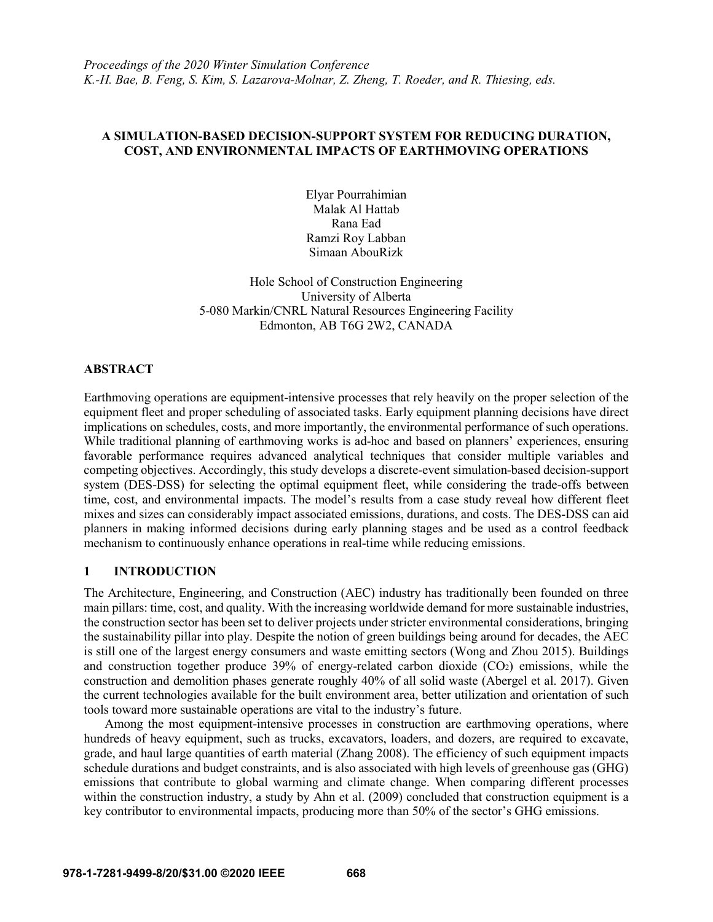# **A SIMULATION-BASED DECISION-SUPPORT SYSTEM FOR REDUCING DURATION, COST, AND ENVIRONMENTAL IMPACTS OF EARTHMOVING OPERATIONS**

Elyar Pourrahimian Malak Al Hattab Rana Ead Ramzi Roy Labban Simaan AbouRizk

Hole School of Construction Engineering University of Alberta 5-080 Markin/CNRL Natural Resources Engineering Facility Edmonton, AB T6G 2W2, CANADA

# **ABSTRACT**

Earthmoving operations are equipment-intensive processes that rely heavily on the proper selection of the equipment fleet and proper scheduling of associated tasks. Early equipment planning decisions have direct implications on schedules, costs, and more importantly, the environmental performance of such operations. While traditional planning of earthmoving works is ad-hoc and based on planners' experiences, ensuring favorable performance requires advanced analytical techniques that consider multiple variables and competing objectives. Accordingly, this study develops a discrete-event simulation-based decision-support system (DES-DSS) for selecting the optimal equipment fleet, while considering the trade-offs between time, cost, and environmental impacts. The model's results from a case study reveal how different fleet mixes and sizes can considerably impact associated emissions, durations, and costs. The DES-DSS can aid planners in making informed decisions during early planning stages and be used as a control feedback mechanism to continuously enhance operations in real-time while reducing emissions.

# **1 INTRODUCTION**

The Architecture, Engineering, and Construction (AEC) industry has traditionally been founded on three main pillars: time, cost, and quality. With the increasing worldwide demand for more sustainable industries, the construction sector has been set to deliver projects under stricter environmental considerations, bringing the sustainability pillar into play. Despite the notion of green buildings being around for decades, the AEC is still one of the largest energy consumers and waste emitting sectors (Wong and Zhou 2015). Buildings and construction together produce 39% of energy-related carbon dioxide (CO2) emissions, while the construction and demolition phases generate roughly 40% of all solid waste (Abergel et al. 2017). Given the current technologies available for the built environment area, better utilization and orientation of such tools toward more sustainable operations are vital to the industry's future.

Among the most equipment-intensive processes in construction are earthmoving operations, where hundreds of heavy equipment, such as trucks, excavators, loaders, and dozers, are required to excavate, grade, and haul large quantities of earth material (Zhang 2008). The efficiency of such equipment impacts schedule durations and budget constraints, and is also associated with high levels of greenhouse gas (GHG) emissions that contribute to global warming and climate change. When comparing different processes within the construction industry, a study by Ahn et al. (2009) concluded that construction equipment is a key contributor to environmental impacts, producing more than 50% of the sector's GHG emissions.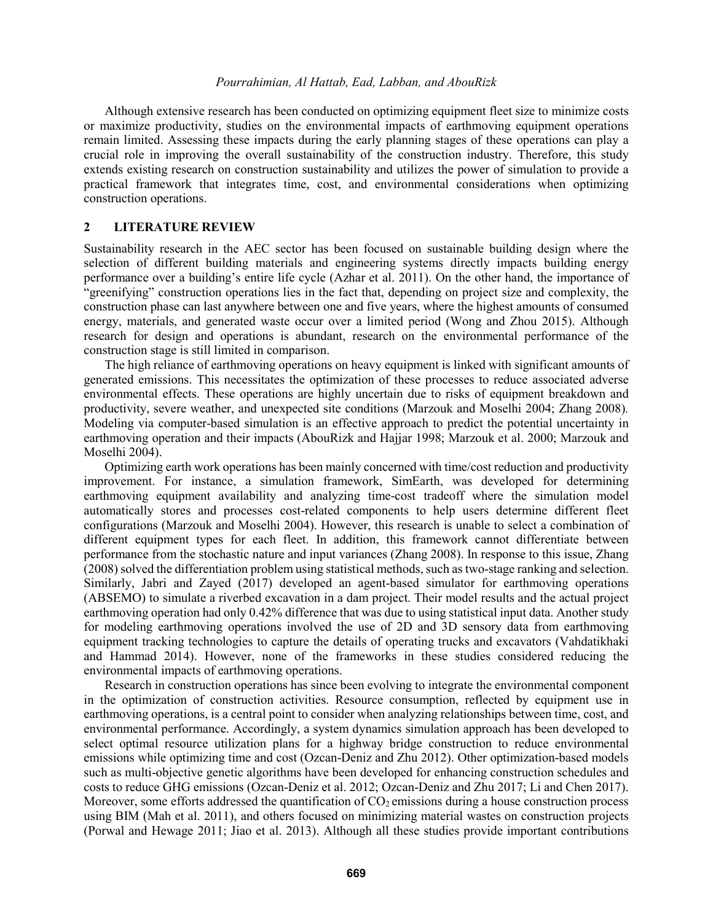Although extensive research has been conducted on optimizing equipment fleet size to minimize costs or maximize productivity, studies on the environmental impacts of earthmoving equipment operations remain limited. Assessing these impacts during the early planning stages of these operations can play a crucial role in improving the overall sustainability of the construction industry. Therefore, this study extends existing research on construction sustainability and utilizes the power of simulation to provide a practical framework that integrates time, cost, and environmental considerations when optimizing construction operations.

### **2 LITERATURE REVIEW**

Sustainability research in the AEC sector has been focused on sustainable building design where the selection of different building materials and engineering systems directly impacts building energy performance over a building's entire life cycle (Azhar et al. 2011). On the other hand, the importance of "greenifying" construction operations lies in the fact that, depending on project size and complexity, the construction phase can last anywhere between one and five years, where the highest amounts of consumed energy, materials, and generated waste occur over a limited period (Wong and Zhou 2015). Although research for design and operations is abundant, research on the environmental performance of the construction stage is still limited in comparison.

The high reliance of earthmoving operations on heavy equipment is linked with significant amounts of generated emissions. This necessitates the optimization of these processes to reduce associated adverse environmental effects. These operations are highly uncertain due to risks of equipment breakdown and productivity, severe weather, and unexpected site conditions (Marzouk and Moselhi 2004; Zhang 2008)*.* Modeling via computer-based simulation is an effective approach to predict the potential uncertainty in earthmoving operation and their impacts (AbouRizk and Hajjar 1998; Marzouk et al. 2000; Marzouk and Moselhi 2004).

Optimizing earth work operations has been mainly concerned with time/cost reduction and productivity improvement. For instance, a simulation framework, SimEarth, was developed for determining earthmoving equipment availability and analyzing time-cost tradeoff where the simulation model automatically stores and processes cost-related components to help users determine different fleet configurations (Marzouk and Moselhi 2004). However, this research is unable to select a combination of different equipment types for each fleet. In addition, this framework cannot differentiate between performance from the stochastic nature and input variances (Zhang 2008). In response to this issue, Zhang (2008) solved the differentiation problem using statistical methods, such as two-stage ranking and selection. Similarly, Jabri and Zayed (2017) developed an agent-based simulator for earthmoving operations (ABSEMO) to simulate a riverbed excavation in a dam project. Their model results and the actual project earthmoving operation had only 0.42% difference that was due to using statistical input data. Another study for modeling earthmoving operations involved the use of 2D and 3D sensory data from earthmoving equipment tracking technologies to capture the details of operating trucks and excavators (Vahdatikhaki and Hammad 2014). However, none of the frameworks in these studies considered reducing the environmental impacts of earthmoving operations.

Research in construction operations has since been evolving to integrate the environmental component in the optimization of construction activities. Resource consumption, reflected by equipment use in earthmoving operations, is a central point to consider when analyzing relationships between time, cost, and environmental performance. Accordingly, a system dynamics simulation approach has been developed to select optimal resource utilization plans for a highway bridge construction to reduce environmental emissions while optimizing time and cost (Ozcan-Deniz and Zhu 2012). Other optimization-based models such as multi-objective genetic algorithms have been developed for enhancing construction schedules and costs to reduce GHG emissions (Ozcan-Deniz et al. 2012; Ozcan-Deniz and Zhu 2017; Li and Chen 2017). Moreover, some efforts addressed the quantification of  $CO<sub>2</sub>$  emissions during a house construction process using BIM (Mah et al. 2011), and others focused on minimizing material wastes on construction projects (Porwal and Hewage 2011; Jiao et al. 2013). Although all these studies provide important contributions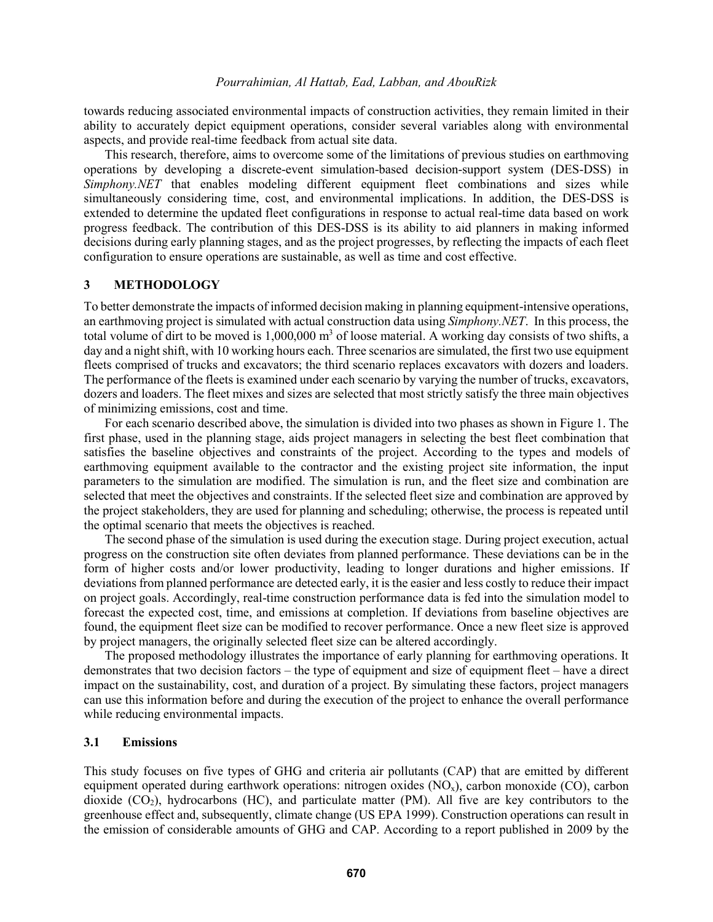towards reducing associated environmental impacts of construction activities, they remain limited in their ability to accurately depict equipment operations, consider several variables along with environmental aspects, and provide real-time feedback from actual site data.

This research, therefore, aims to overcome some of the limitations of previous studies on earthmoving operations by developing a discrete-event simulation-based decision-support system (DES-DSS) in *Simphony.NET* that enables modeling different equipment fleet combinations and sizes while simultaneously considering time, cost, and environmental implications. In addition, the DES-DSS is extended to determine the updated fleet configurations in response to actual real-time data based on work progress feedback. The contribution of this DES-DSS is its ability to aid planners in making informed decisions during early planning stages, and as the project progresses, by reflecting the impacts of each fleet configuration to ensure operations are sustainable, as well as time and cost effective.

## **3 METHODOLOGY**

To better demonstrate the impacts of informed decision making in planning equipment-intensive operations, an earthmoving project is simulated with actual construction data using *Simphony.NET*. In this process, the total volume of dirt to be moved is  $1,000,000$  m<sup>3</sup> of loose material. A working day consists of two shifts, a day and a night shift, with 10 working hours each. Three scenarios are simulated, the first two use equipment fleets comprised of trucks and excavators; the third scenario replaces excavators with dozers and loaders. The performance of the fleets is examined under each scenario by varying the number of trucks, excavators, dozers and loaders. The fleet mixes and sizes are selected that most strictly satisfy the three main objectives of minimizing emissions, cost and time.

For each scenario described above, the simulation is divided into two phases as shown in [Figure 1.](#page-3-0) The first phase, used in the planning stage, aids project managers in selecting the best fleet combination that satisfies the baseline objectives and constraints of the project. According to the types and models of earthmoving equipment available to the contractor and the existing project site information, the input parameters to the simulation are modified. The simulation is run, and the fleet size and combination are selected that meet the objectives and constraints. If the selected fleet size and combination are approved by the project stakeholders, they are used for planning and scheduling; otherwise, the process is repeated until the optimal scenario that meets the objectives is reached.

The second phase of the simulation is used during the execution stage. During project execution, actual progress on the construction site often deviates from planned performance. These deviations can be in the form of higher costs and/or lower productivity, leading to longer durations and higher emissions. If deviations from planned performance are detected early, it is the easier and less costly to reduce their impact on project goals. Accordingly, real-time construction performance data is fed into the simulation model to forecast the expected cost, time, and emissions at completion. If deviations from baseline objectives are found, the equipment fleet size can be modified to recover performance. Once a new fleet size is approved by project managers, the originally selected fleet size can be altered accordingly.

The proposed methodology illustrates the importance of early planning for earthmoving operations. It demonstrates that two decision factors – the type of equipment and size of equipment fleet – have a direct impact on the sustainability, cost, and duration of a project. By simulating these factors, project managers can use this information before and during the execution of the project to enhance the overall performance while reducing environmental impacts.

## **3.1 Emissions**

This study focuses on five types of GHG and criteria air pollutants (CAP) that are emitted by different equipment operated during earthwork operations: nitrogen oxides  $(NQ<sub>x</sub>)$ , carbon monoxide (CO), carbon dioxide  $(CO<sub>2</sub>)$ , hydrocarbons  $(HC)$ , and particulate matter  $(PM)$ . All five are key contributors to the greenhouse effect and, subsequently, climate change (US EPA 1999). Construction operations can result in the emission of considerable amounts of GHG and CAP. According to a report published in 2009 by the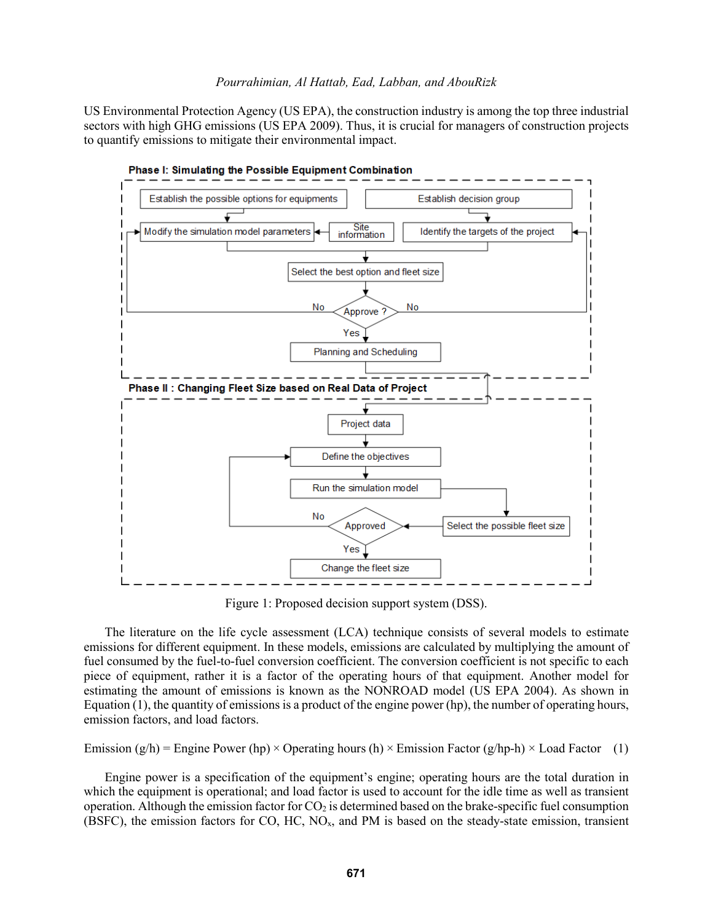US Environmental Protection Agency (US EPA), the construction industry is among the top three industrial sectors with high GHG emissions (US EPA 2009). Thus, it is crucial for managers of construction projects to quantify emissions to mitigate their environmental impact.



<span id="page-3-0"></span>Figure 1: Proposed decision support system (DSS).

The literature on the life cycle assessment (LCA) technique consists of several models to estimate emissions for different equipment. In these models, emissions are calculated by multiplying the amount of fuel consumed by the fuel-to-fuel conversion coefficient. The conversion coefficient is not specific to each piece of equipment, rather it is a factor of the operating hours of that equipment. Another model for estimating the amount of emissions is known as the NONROAD model (US EPA 2004). As shown in Equation (1), the quantity of emissions is a product of the engine power (hp), the number of operating hours, emission factors, and load factors.

Emission  $(g/h)$  = Engine Power (hp) × Operating hours (h) × Emission Factor  $(g/hp-h)$  × Load Factor (1)

Engine power is a specification of the equipment's engine; operating hours are the total duration in which the equipment is operational; and load factor is used to account for the idle time as well as transient operation. Although the emission factor for  $CO<sub>2</sub>$  is determined based on the brake-specific fuel consumption (BSFC), the emission factors for CO, HC,  $NO<sub>x</sub>$ , and PM is based on the steady-state emission, transient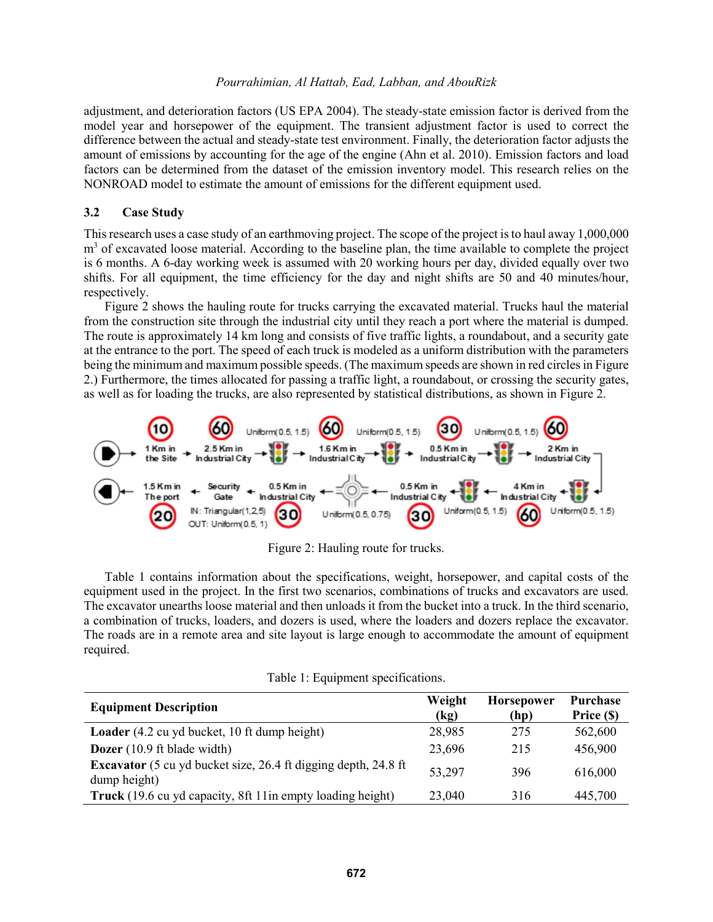adjustment, and deterioration factors (US EPA 2004). The steady-state emission factor is derived from the model year and horsepower of the equipment. The transient adjustment factor is used to correct the difference between the actual and steady-state test environment. Finally, the deterioration factor adjusts the amount of emissions by accounting for the age of the engine (Ahn et al. 2010). Emission factors and load factors can be determined from the dataset of the emission inventory model. This research relies on the NONROAD model to estimate the amount of emissions for the different equipment used.

## **3.2 Case Study**

This research uses a case study of an earthmoving project. The scope of the project is to haul away 1,000,000  $m<sup>3</sup>$  of excavated loose material. According to the baseline plan, the time available to complete the project is 6 months. A 6-day working week is assumed with 20 working hours per day, divided equally over two shifts. For all equipment, the time efficiency for the day and night shifts are 50 and 40 minutes/hour, respectively.

Figure 2 shows the hauling route for trucks carrying the excavated material. Trucks haul the material from the construction site through the industrial city until they reach a port where the material is dumped. The route is approximately 14 km long and consists of five traffic lights, a roundabout, and a security gate at the entrance to the port. The speed of each truck is modeled as a uniform distribution with the parameters being the minimum and maximum possible speeds. (The maximum speeds are shown in red circles i[n Figure](#page-4-0)  [2.](#page-4-0)) Furthermore, the times allocated for passing a traffic light, a roundabout, or crossing the security gates, as well as for loading the trucks, are also represented by statistical distributions, as shown i[n Figure 2.](#page-4-0)



Figure 2: Hauling route for trucks.

<span id="page-4-0"></span>[Table 1](#page-4-1) contains information about the specifications, weight, horsepower, and capital costs of the equipment used in the project. In the first two scenarios, combinations of trucks and excavators are used. The excavator unearths loose material and then unloads it from the bucket into a truck. In the third scenario, a combination of trucks, loaders, and dozers is used, where the loaders and dozers replace the excavator. The roads are in a remote area and site layout is large enough to accommodate the amount of equipment required.

Table 1: Equipment specifications.

<span id="page-4-1"></span>

| <b>Equipment Description</b>                                                          | Weight<br>(kg) | <b>Horsepower</b><br>(hp) | <b>Purchase</b><br>Price (\$) |
|---------------------------------------------------------------------------------------|----------------|---------------------------|-------------------------------|
| <b>Loader</b> (4.2 cu yd bucket, 10 ft dump height)                                   | 28,985         | 275                       | 562,600                       |
| <b>Dozer</b> (10.9 ft blade width)                                                    | 23,696         | 215                       | 456,900                       |
| <b>Excavator</b> (5 cu yd bucket size, 26.4 ft digging depth, 24.8 ft<br>dump height) | 53,297         | 396                       | 616,000                       |
| Truck (19.6 cu yd capacity, 8ft 11 in empty loading height)                           | 23,040         | 316                       | 445,700                       |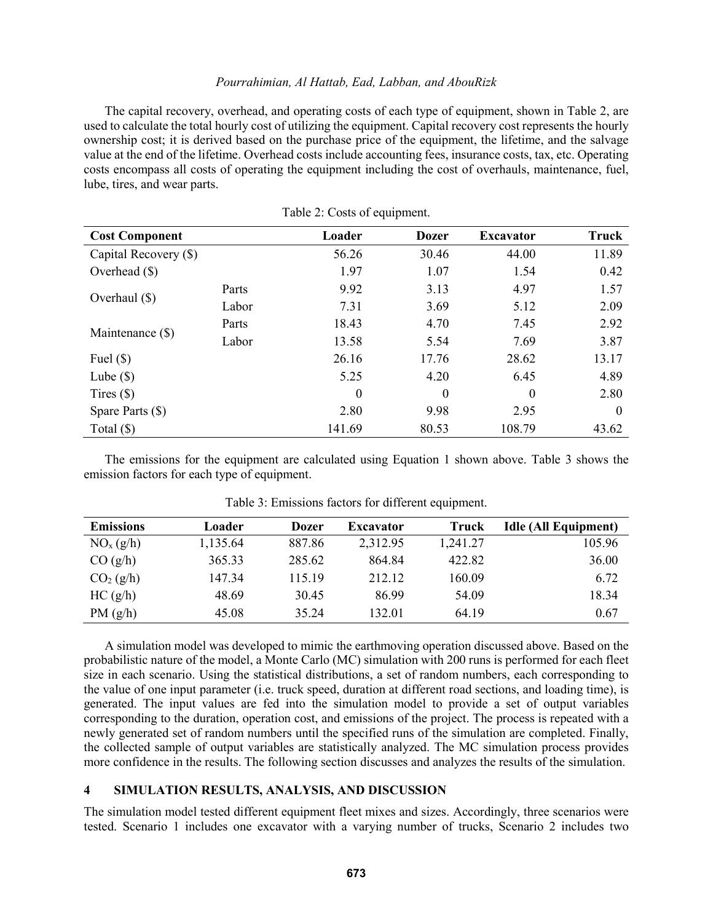The capital recovery, overhead, and operating costs of each type of equipment, shown in [Table 2,](#page-5-0) are used to calculate the total hourly cost of utilizing the equipment. Capital recovery cost represents the hourly ownership cost; it is derived based on the purchase price of the equipment, the lifetime, and the salvage value at the end of the lifetime. Overhead costs include accounting fees, insurance costs, tax, etc. Operating costs encompass all costs of operating the equipment including the cost of overhauls, maintenance, fuel, lube, tires, and wear parts.

<span id="page-5-0"></span>

| <b>Cost Component</b> |       | Loader   | <b>Dozer</b> | <b>Excavator</b> | <b>Truck</b> |
|-----------------------|-------|----------|--------------|------------------|--------------|
| Capital Recovery (\$) |       | 56.26    | 30.46        | 44.00            | 11.89        |
| Overhead $(\$)$       |       | 1.97     | 1.07         | 1.54             | 0.42         |
|                       | Parts | 9.92     | 3.13         | 4.97             | 1.57         |
| Overhaul $(\$)$       | Labor | 7.31     | 3.69         | 5.12             | 2.09         |
| Maintenance (\$)      | Parts | 18.43    | 4.70         | 7.45             | 2.92         |
|                       | Labor | 13.58    | 5.54         | 7.69             | 3.87         |
| Fuel $(\$)$           |       | 26.16    | 17.76        | 28.62            | 13.17        |
| Lube $(\$)$           |       | 5.25     | 4.20         | 6.45             | 4.89         |
| Tires $(\$)$          |       | $\theta$ | $\theta$     | $\theta$         | 2.80         |
| Spare Parts $(\$)$    |       | 2.80     | 9.98         | 2.95             | $\theta$     |
| Total $(\$)$          |       | 141.69   | 80.53        | 108.79           | 43.62        |

Table 2: Costs of equipment.

The emissions for the equipment are calculated using Equation 1 shown above. Table 3 shows the emission factors for each type of equipment.

| <b>Emissions</b>      | Loader   | <b>Dozer</b> | <b>Excavator</b> | Truck    | <b>Idle (All Equipment)</b> |
|-----------------------|----------|--------------|------------------|----------|-----------------------------|
| NO <sub>x</sub> (g/h) | 1,135.64 | 887.86       | 2,312.95         | 1,241.27 | 105.96                      |
| CO(g/h)               | 365.33   | 285.62       | 864.84           | 422.82   | 36.00                       |
| CO <sub>2</sub> (g/h) | 147.34   | 115.19       | 212.12           | 160.09   | 6.72                        |
| HC(g/h)               | 48.69    | 30.45        | 86.99            | 54.09    | 18.34                       |
| PM(g/h)               | 45.08    | 35.24        | 132.01           | 64.19    | 0.67                        |

Table 3: Emissions factors for different equipment.

A simulation model was developed to mimic the earthmoving operation discussed above. Based on the probabilistic nature of the model, a Monte Carlo (MC) simulation with 200 runs is performed for each fleet size in each scenario. Using the statistical distributions, a set of random numbers, each corresponding to the value of one input parameter (i.e. truck speed, duration at different road sections, and loading time), is generated. The input values are fed into the simulation model to provide a set of output variables corresponding to the duration, operation cost, and emissions of the project. The process is repeated with a newly generated set of random numbers until the specified runs of the simulation are completed. Finally, the collected sample of output variables are statistically analyzed. The MC simulation process provides more confidence in the results. The following section discusses and analyzes the results of the simulation.

### **4 SIMULATION RESULTS, ANALYSIS, AND DISCUSSION**

The simulation model tested different equipment fleet mixes and sizes. Accordingly, three scenarios were tested. Scenario 1 includes one excavator with a varying number of trucks, Scenario 2 includes two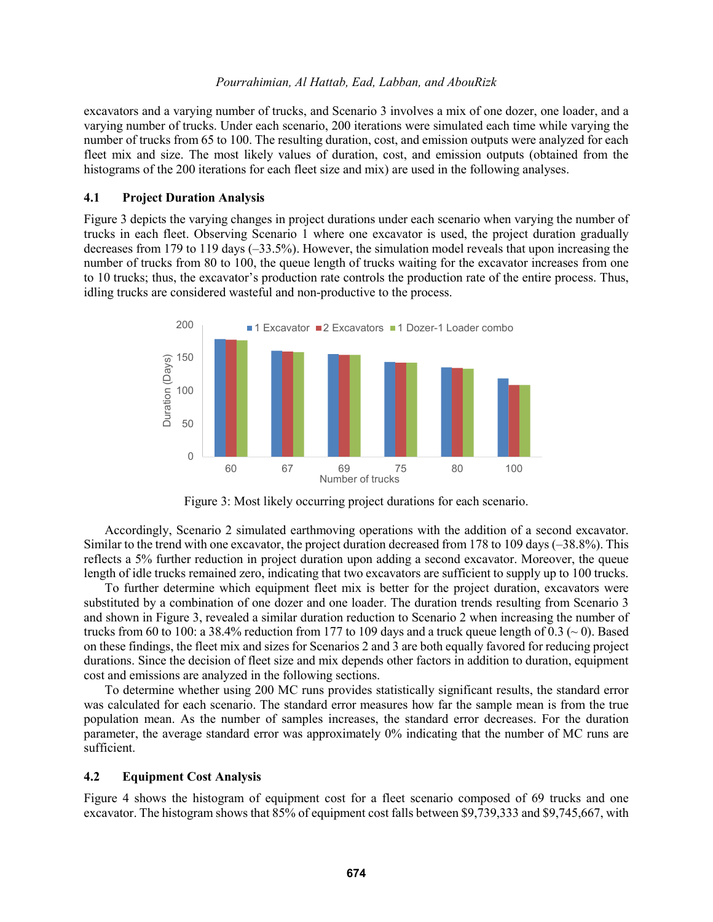excavators and a varying number of trucks, and Scenario 3 involves a mix of one dozer, one loader, and a varying number of trucks. Under each scenario, 200 iterations were simulated each time while varying the number of trucks from 65 to 100. The resulting duration, cost, and emission outputs were analyzed for each fleet mix and size. The most likely values of duration, cost, and emission outputs (obtained from the histograms of the 200 iterations for each fleet size and mix) are used in the following analyses.

### **4.1 Project Duration Analysis**

[Figure 3](#page-6-0) depicts the varying changes in project durations under each scenario when varying the number of trucks in each fleet. Observing Scenario 1 where one excavator is used, the project duration gradually decreases from 179 to 119 days (–33.5%). However, the simulation model reveals that upon increasing the number of trucks from 80 to 100, the queue length of trucks waiting for the excavator increases from one to 10 trucks; thus, the excavator's production rate controls the production rate of the entire process. Thus, idling trucks are considered wasteful and non-productive to the process.



Figure 3: Most likely occurring project durations for each scenario.

<span id="page-6-0"></span>Accordingly, Scenario 2 simulated earthmoving operations with the addition of a second excavator. Similar to the trend with one excavator, the project duration decreased from 178 to 109 days (–38.8%). This reflects a 5% further reduction in project duration upon adding a second excavator. Moreover, the queue length of idle trucks remained zero, indicating that two excavators are sufficient to supply up to 100 trucks.

To further determine which equipment fleet mix is better for the project duration, excavators were substituted by a combination of one dozer and one loader. The duration trends resulting from Scenario 3 and shown in [Figure 3,](#page-6-0) revealed a similar duration reduction to Scenario 2 when increasing the number of trucks from 60 to 100: a 38.4% reduction from 177 to 109 days and a truck queue length of 0.3 ( $\sim$  0). Based on these findings, the fleet mix and sizes for Scenarios 2 and 3 are both equally favored for reducing project durations. Since the decision of fleet size and mix depends other factors in addition to duration, equipment cost and emissions are analyzed in the following sections.

To determine whether using 200 MC runs provides statistically significant results, the standard error was calculated for each scenario. The standard error measures how far the sample mean is from the true population mean. As the number of samples increases, the standard error decreases. For the duration parameter, the average standard error was approximately 0% indicating that the number of MC runs are sufficient.

### **4.2 Equipment Cost Analysis**

Figure 4 shows the histogram of equipment cost for a fleet scenario composed of 69 trucks and one excavator. The histogram shows that 85% of equipment cost falls between \$9,739,333 and \$9,745,667, with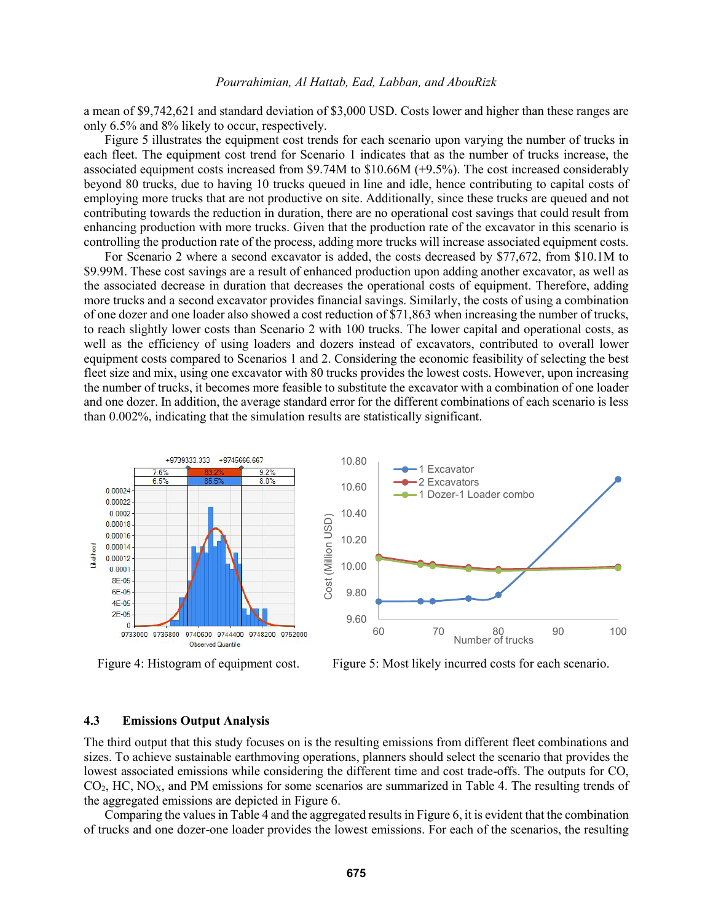a mean of \$9,742,621 and standard deviation of \$3,000 USD. Costs lower and higher than these ranges are only 6.5% and 8% likely to occur, respectively.

Figure 5 illustrates the equipment cost trends for each scenario upon varying the number of trucks in each fleet. The equipment cost trend for Scenario 1 indicates that as the number of trucks increase, the associated equipment costs increased from \$9.74M to \$10.66M (+9.5%). The cost increased considerably beyond 80 trucks, due to having 10 trucks queued in line and idle, hence contributing to capital costs of employing more trucks that are not productive on site. Additionally, since these trucks are queued and not contributing towards the reduction in duration, there are no operational cost savings that could result from enhancing production with more trucks. Given that the production rate of the excavator in this scenario is controlling the production rate of the process, adding more trucks will increase associated equipment costs.

For Scenario 2 where a second excavator is added, the costs decreased by \$77,672, from \$10.1M to \$9.99M. These cost savings are a result of enhanced production upon adding another excavator, as well as the associated decrease in duration that decreases the operational costs of equipment. Therefore, adding more trucks and a second excavator provides financial savings. Similarly, the costs of using a combination of one dozer and one loader also showed a cost reduction of \$71,863 when increasing the number of trucks, to reach slightly lower costs than Scenario 2 with 100 trucks. The lower capital and operational costs, as well as the efficiency of using loaders and dozers instead of excavators, contributed to overall lower equipment costs compared to Scenarios 1 and 2. Considering the economic feasibility of selecting the best fleet size and mix, using one excavator with 80 trucks provides the lowest costs. However, upon increasing the number of trucks, it becomes more feasible to substitute the excavator with a combination of one loader and one dozer. In addition, the average standard error for the different combinations of each scenario is less than 0.002%, indicating that the simulation results are statistically significant.



Figure 4: Histogram of equipment cost. Figure 5: Most likely incurred costs for each scenario.

## **4.3 Emissions Output Analysis**

The third output that this study focuses on is the resulting emissions from different fleet combinations and sizes. To achieve sustainable earthmoving operations, planners should select the scenario that provides the lowest associated emissions while considering the different time and cost trade-offs. The outputs for CO,  $CO<sub>2</sub>$ , HC, NO<sub>X</sub>, and PM emissions for some scenarios are summarized in [Table 4.](#page-8-0) The resulting trends of the aggregated emissions are depicted in [Figure 6.](#page-8-1)

Comparing the values in [Table 4](#page-8-0) and the aggregated results in [Figure 6,](#page-8-1) it is evident that the combination of trucks and one dozer-one loader provides the lowest emissions. For each of the scenarios, the resulting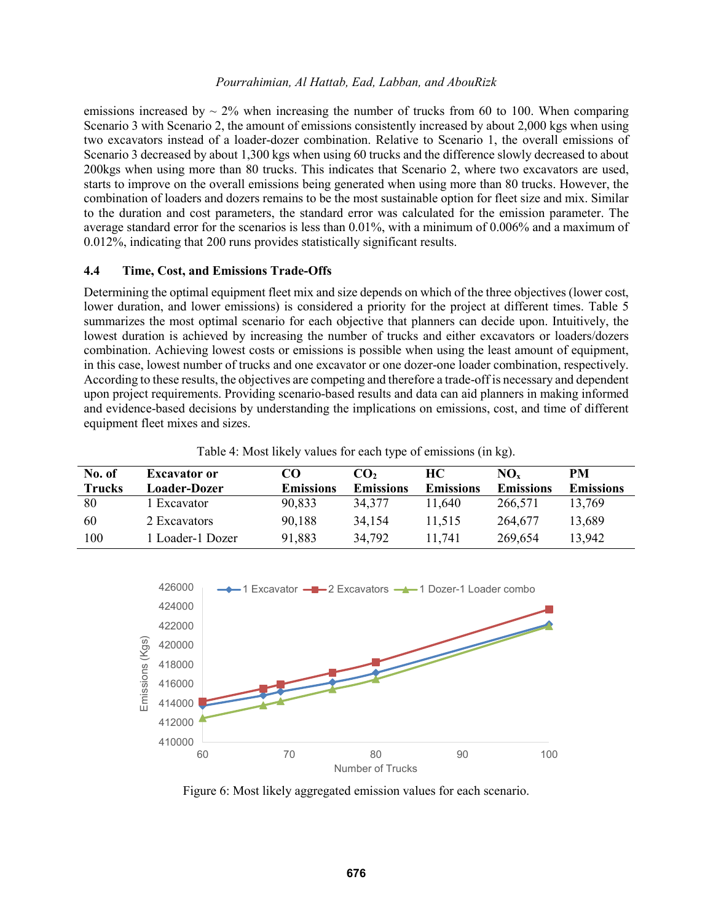emissions increased by  $\sim$  2% when increasing the number of trucks from 60 to 100. When comparing Scenario 3 with Scenario 2, the amount of emissions consistently increased by about 2,000 kgs when using two excavators instead of a loader-dozer combination. Relative to Scenario 1, the overall emissions of Scenario 3 decreased by about 1,300 kgs when using 60 trucks and the difference slowly decreased to about 200kgs when using more than 80 trucks. This indicates that Scenario 2, where two excavators are used, starts to improve on the overall emissions being generated when using more than 80 trucks. However, the combination of loaders and dozers remains to be the most sustainable option for fleet size and mix. Similar to the duration and cost parameters, the standard error was calculated for the emission parameter. The average standard error for the scenarios is less than 0.01%, with a minimum of 0.006% and a maximum of 0.012%, indicating that 200 runs provides statistically significant results.

### **4.4 Time, Cost, and Emissions Trade-Offs**

Determining the optimal equipment fleet mix and size depends on which of the three objectives (lower cost, lower duration, and lower emissions) is considered a priority for the project at different times. [Table 5](#page-9-0) summarizes the most optimal scenario for each objective that planners can decide upon. Intuitively, the lowest duration is achieved by increasing the number of trucks and either excavators or loaders/dozers combination. Achieving lowest costs or emissions is possible when using the least amount of equipment, in this case, lowest number of trucks and one excavator or one dozer-one loader combination, respectively. According to these results, the objectives are competing and therefore a trade-off is necessary and dependent upon project requirements. Providing scenario-based results and data can aid planners in making informed and evidence-based decisions by understanding the implications on emissions, cost, and time of different equipment fleet mixes and sizes.

| No. of        | <b>Excavator or</b> | CO               | CO,              | <b>HC</b>        | $NO_{x}$         | PM               |
|---------------|---------------------|------------------|------------------|------------------|------------------|------------------|
| <b>Trucks</b> | <b>Loader-Dozer</b> | <b>Emissions</b> | <b>Emissions</b> | <b>Emissions</b> | <b>Emissions</b> | <b>Emissions</b> |
| 80            | Excavator           | 90,833           | 34,377           | 11,640           | 266,571          | 13,769           |
| 60            | 2 Excavators        | 90,188           | 34.154           | 11,515           | 264,677          | 13,689           |
| 100           | Loader-1 Dozer      | 91,883           | 34,792           | 11.741           | 269,654          | 13,942           |

<span id="page-8-0"></span>



<span id="page-8-1"></span>Figure 6: Most likely aggregated emission values for each scenario.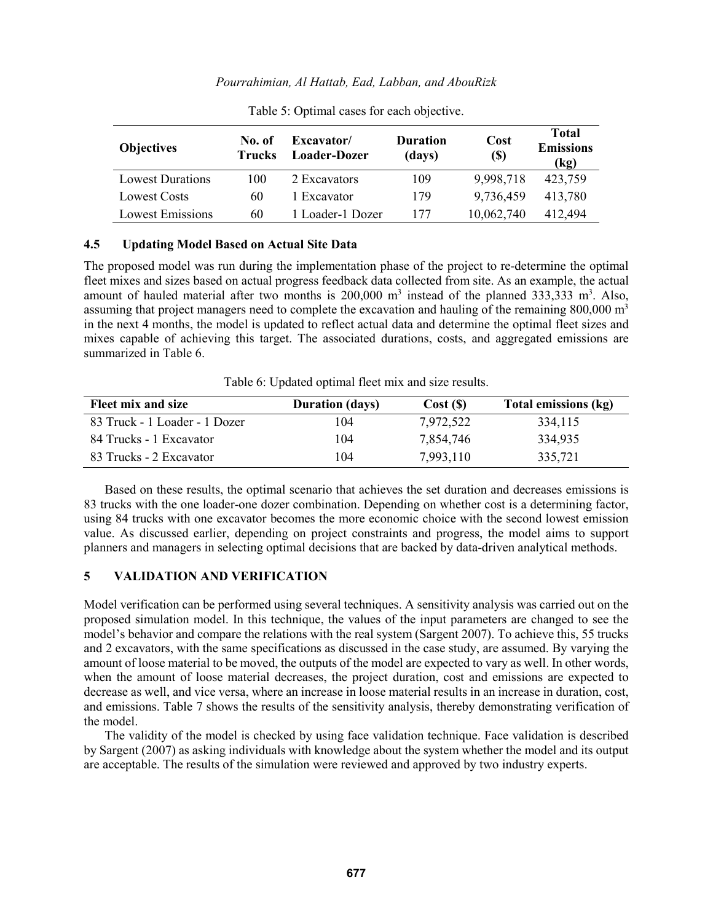<span id="page-9-0"></span>

| <b>Objectives</b>       | No. of<br><b>Trucks</b> | Excavator/<br>Loader-Dozer | <b>Duration</b><br>(days) | Cost<br><b>(\$)</b> | Total<br><b>Emissions</b><br>(kg) |
|-------------------------|-------------------------|----------------------------|---------------------------|---------------------|-----------------------------------|
| <b>Lowest Durations</b> | 100                     | 2 Excavators               | 109                       | 9,998,718           | 423,759                           |
| Lowest Costs            | 60                      | 1 Excavator                | 179                       | 9,736,459           | 413,780                           |
| <b>Lowest Emissions</b> | 60                      | 1 Loader-1 Dozer           | 177                       | 10,062,740          | 412,494                           |

Table 5: Optimal cases for each objective.

## **4.5 Updating Model Based on Actual Site Data**

The proposed model was run during the implementation phase of the project to re-determine the optimal fleet mixes and sizes based on actual progress feedback data collected from site. As an example, the actual amount of hauled material after two months is  $200,000$  m<sup>3</sup> instead of the planned 333,333 m<sup>3</sup>. Also, assuming that project managers need to complete the excavation and hauling of the remaining  $800,000 \text{ m}^3$ in the next 4 months, the model is updated to reflect actual data and determine the optimal fleet sizes and mixes capable of achieving this target. The associated durations, costs, and aggregated emissions are summarized in [Table 6.](#page-9-1)

Table 6: Updated optimal fleet mix and size results.

<span id="page-9-1"></span>

| Fleet mix and size            | <b>Duration (days)</b> | Cost(S)   | Total emissions (kg) |
|-------------------------------|------------------------|-----------|----------------------|
| 83 Truck - 1 Loader - 1 Dozer | 104                    | 7,972,522 | 334,115              |
| 84 Trucks - 1 Excavator       | 104                    | 7,854,746 | 334,935              |
| 83 Trucks - 2 Excavator       | 104                    | 7,993,110 | 335,721              |

Based on these results, the optimal scenario that achieves the set duration and decreases emissions is 83 trucks with the one loader-one dozer combination. Depending on whether cost is a determining factor, using 84 trucks with one excavator becomes the more economic choice with the second lowest emission value. As discussed earlier, depending on project constraints and progress, the model aims to support planners and managers in selecting optimal decisions that are backed by data-driven analytical methods.

# **5 VALIDATION AND VERIFICATION**

Model verification can be performed using several techniques. A sensitivity analysis was carried out on the proposed simulation model. In this technique, the values of the input parameters are changed to see the model's behavior and compare the relations with the real system (Sargent 2007). To achieve this, 55 trucks and 2 excavators, with the same specifications as discussed in the case study, are assumed. By varying the amount of loose material to be moved, the outputs of the model are expected to vary as well. In other words, when the amount of loose material decreases, the project duration, cost and emissions are expected to decrease as well, and vice versa, where an increase in loose material results in an increase in duration, cost, and emissions. [Table 7](#page-10-0) shows the results of the sensitivity analysis, thereby demonstrating verification of the model.

The validity of the model is checked by using face validation technique. Face validation is described by Sargent (2007) as asking individuals with knowledge about the system whether the model and its output are acceptable. The results of the simulation were reviewed and approved by two industry experts.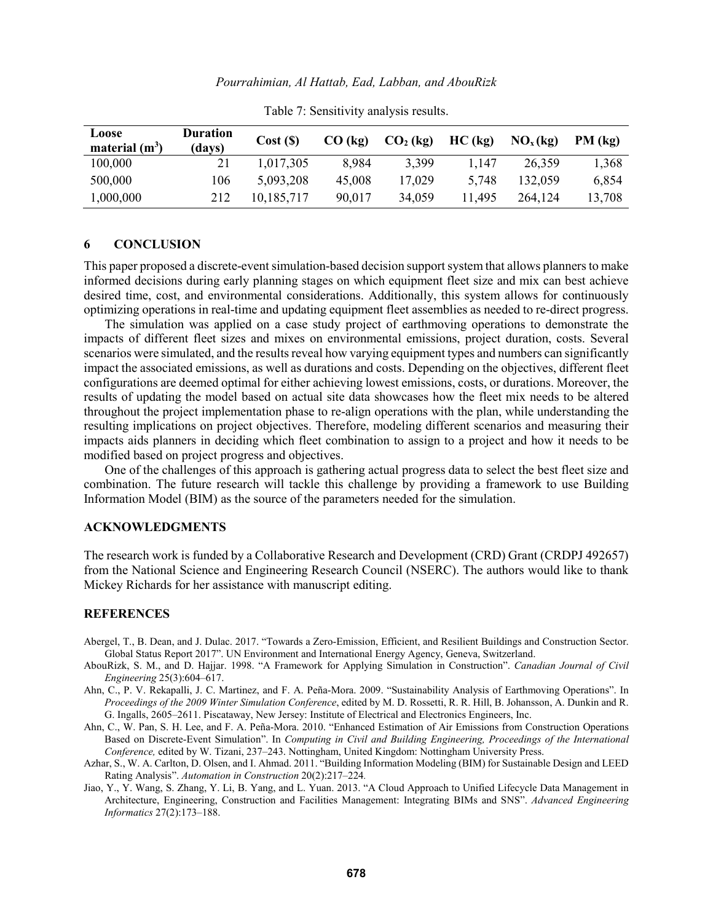<span id="page-10-0"></span>

| Loose            | <b>Duration</b> | Cost(S)    | $CO$ (kg) | $CO2$ (kg) | HC (kg) | NO <sub>x</sub> (kg) | $PM$ (kg) |
|------------------|-----------------|------------|-----------|------------|---------|----------------------|-----------|
| material $(m^3)$ | (days)          |            |           |            |         |                      |           |
| 100,000          |                 | 1,017,305  | 8,984     | 3,399      | 1.147   | 26,359               | 1,368     |
| 500,000          | 106             | 5,093,208  | 45,008    | 17,029     | 5,748   | 132.059              | 6,854     |
| 1,000,000        | 212             | 10,185,717 | 90,017    | 34,059     | 11,495  | 264,124              | 13,708    |

Table 7: Sensitivity analysis results.

## **6 CONCLUSION**

This paper proposed a discrete-event simulation-based decision support system that allows planners to make informed decisions during early planning stages on which equipment fleet size and mix can best achieve desired time, cost, and environmental considerations. Additionally, this system allows for continuously optimizing operations in real-time and updating equipment fleet assemblies as needed to re-direct progress.

The simulation was applied on a case study project of earthmoving operations to demonstrate the impacts of different fleet sizes and mixes on environmental emissions, project duration, costs. Several scenarios were simulated, and the results reveal how varying equipment types and numbers can significantly impact the associated emissions, as well as durations and costs. Depending on the objectives, different fleet configurations are deemed optimal for either achieving lowest emissions, costs, or durations. Moreover, the results of updating the model based on actual site data showcases how the fleet mix needs to be altered throughout the project implementation phase to re-align operations with the plan, while understanding the resulting implications on project objectives. Therefore, modeling different scenarios and measuring their impacts aids planners in deciding which fleet combination to assign to a project and how it needs to be modified based on project progress and objectives.

One of the challenges of this approach is gathering actual progress data to select the best fleet size and combination. The future research will tackle this challenge by providing a framework to use Building Information Model (BIM) as the source of the parameters needed for the simulation.

## **ACKNOWLEDGMENTS**

The research work is funded by a Collaborative Research and Development (CRD) Grant (CRDPJ 492657) from the National Science and Engineering Research Council (NSERC). The authors would like to thank Mickey Richards for her assistance with manuscript editing.

## **REFERENCES**

- Abergel, T., B. Dean, and J. Dulac. 2017. "Towards a Zero-Emission, Efficient, and Resilient Buildings and Construction Sector. Global Status Report 2017". UN Environment and International Energy Agency, Geneva, Switzerland.
- AbouRizk, S. M., and D. Hajjar. 1998. "A Framework for Applying Simulation in Construction". *Canadian Journal of Civil Engineering* 25(3):604–617.
- Ahn, C., P. V. Rekapalli, J. C. Martinez, and F. A. Peña-Mora. 2009. "Sustainability Analysis of Earthmoving Operations". In *Proceedings of the 2009 Winter Simulation Conference*, edited by M. D. Rossetti, R. R. Hill, B. Johansson, A. Dunkin and R. G. Ingalls, 2605–2611. Piscataway, New Jersey: Institute of Electrical and Electronics Engineers, Inc.
- Ahn, C., W. Pan, S. H. Lee, and F. A. Peña-Mora. 2010. "Enhanced Estimation of Air Emissions from Construction Operations Based on Discrete-Event Simulation". In *Computing in Civil and Building Engineering, Proceedings of the International Conference,* edited by W. Tizani, 237–243. Nottingham, United Kingdom: Nottingham University Press.
- Azhar, S., W. A. Carlton, D. Olsen, and I. Ahmad. 2011. "Building Information Modeling (BIM) for Sustainable Design and LEED Rating Analysis". *Automation in Construction* 20(2):217–224*.*
- Jiao, Y., Y. Wang, S. Zhang, Y. Li, B. Yang, and L. Yuan. 2013. "A Cloud Approach to Unified Lifecycle Data Management in Architecture, Engineering, Construction and Facilities Management: Integrating BIMs and SNS". *Advanced Engineering Informatics* 27(2):173–188.